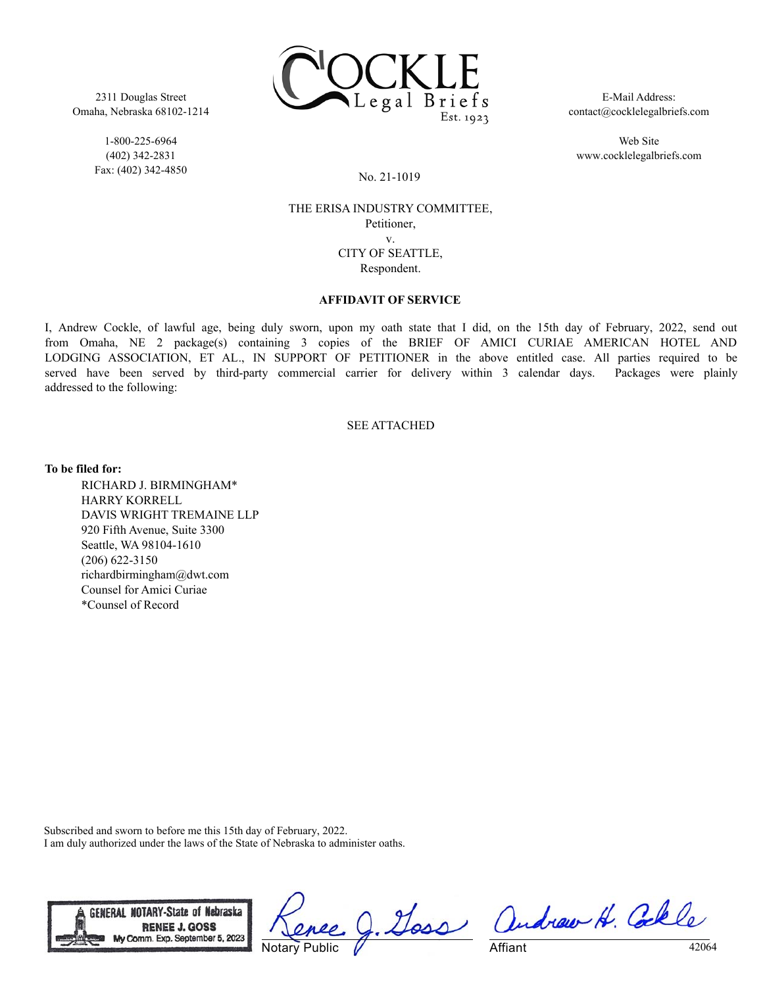

2311 Douglas Street Omaha, Nebraska 68102-1214

> 1-800-225-6964 (402) 342-2831 Fax: (402) 342-4850

E-Mail Address: contact@cocklelegalbriefs.com

Web Site www.cocklelegalbriefs.com

No. 21-1019

## THE ERISA INDUSTRY COMMITTEE, Petitioner, v. CITY OF SEATTLE, Respondent.

## **AFFIDAVIT OF SERVICE**

I, Andrew Cockle, of lawful age, being duly sworn, upon my oath state that I did, on the 15th day of February, 2022, send out from Omaha, NE 2 package(s) containing 3 copies of the BRIEF OF AMICI CURIAE AMERICAN HOTEL AND LODGING ASSOCIATION, ET AL., IN SUPPORT OF PETITIONER in the above entitled case. All parties required to be served have been served by third-party commercial carrier for delivery within 3 calendar days. Packages were plainly addressed to the following:

## SEE ATTACHED

**To be filed for:**

RICHARD J. BIRMINGHAM\* HARRY KORRELL DAVIS WRIGHT TREMAINE LLP 920 Fifth Avenue, Suite 3300 Seattle, WA 98104-1610 (206) 622-3150 richardbirmingham@dwt.com Counsel for Amici Curiae \*Counsel of Record

Subscribed and sworn to before me this 15th day of February, 2022. I am duly authorized under the laws of the State of Nebraska to administer oaths.



Notary Public

J. Goss andrew H. Colle